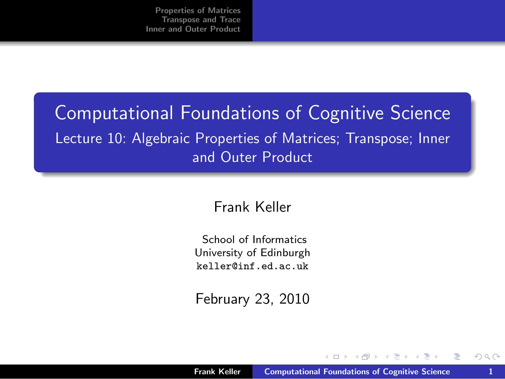## Computational Foundations of Cognitive Science Lecture 10: Algebraic Properties of Matrices; Transpose; Inner and Outer Product

#### Frank Keller

School of Informatics University of Edinburgh <keller@inf.ed.ac.uk>

February 23, 2010

<span id="page-0-0"></span>- 4 何 ト 4 三 ト 4 三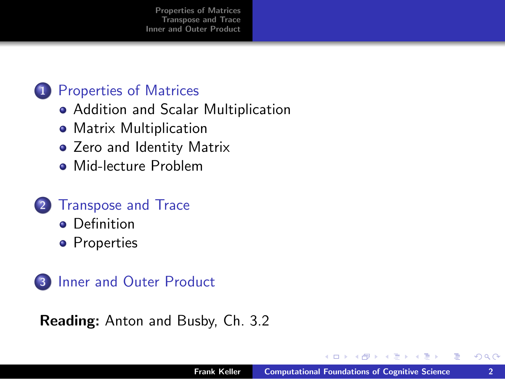#### 1 [Properties of Matrices](#page-2-0)

- [Addition and Scalar Multiplication](#page-2-0)
- [Matrix Multiplication](#page-3-0)
- [Zero and Identity Matrix](#page-5-0)
- [Mid-lecture Problem](#page-8-0)

#### 2 [Transpose and Trace](#page-12-0)

- **o** [Definition](#page-12-0)
- **•** [Properties](#page-14-0)



#### Reading: Anton and Busby, Ch. 3.2

<span id="page-1-0"></span> $\mathbf{A} \equiv \mathbf{A} \cdot \mathbf{A}$ 

 $\sim$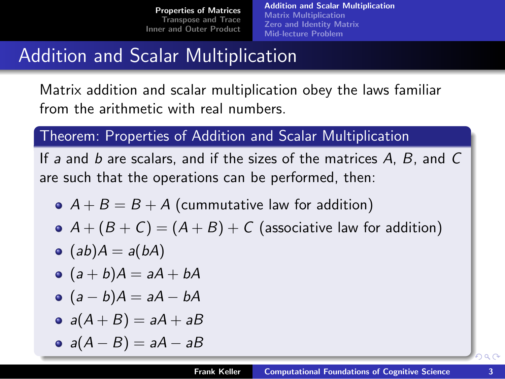[Addition and Scalar Multiplication](#page-2-0) [Matrix Multiplication](#page-3-0) [Zero and Identity Matrix](#page-5-0) [Mid-lecture Problem](#page-8-0)

# Addition and Scalar Multiplication

Matrix addition and scalar multiplication obey the laws familiar from the arithmetic with real numbers.

#### Theorem: Properties of Addition and Scalar Multiplication

If a and b are scalars, and if the sizes of the matrices  $A$ ,  $B$ , and  $C$ are such that the operations can be performed, then:

- $A + B = B + A$  (cummutative law for addition)
- $A + (B + C) = (A + B) + C$  (associative law for addition)
- $(ab)A = a(bA)$
- $\bullet$   $(a + b)A = aA + bA$
- $\bullet$   $(a b)A = aA bA$
- $a(A + B) = aA + aB$
- <span id="page-2-0"></span>•  $a(A - B) = aA - aB$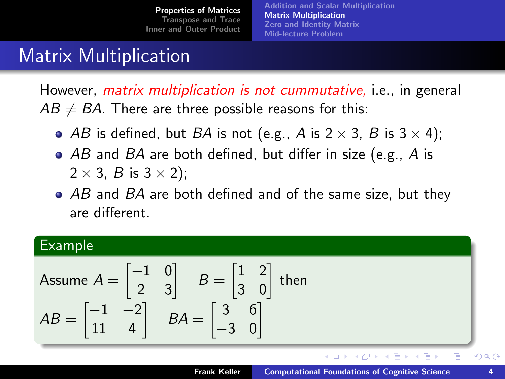[Addition and Scalar Multiplication](#page-2-0) [Matrix Multiplication](#page-3-0) [Zero and Identity Matrix](#page-5-0) [Mid-lecture Problem](#page-8-0)

### Matrix Multiplication

However, *matrix multiplication is not cummutative*, i.e., in general  $AB \neq BA$ . There are three possible reasons for this:

- AB is defined, but BA is not (e.g., A is  $2 \times 3$ , B is  $3 \times 4$ );
- AB and BA are both defined, but differ in size (e.g., A is  $2 \times 3$ , B is  $3 \times 2$ );
- AB and BA are both defined and of the same size, but they are different.

#### Example

Assume 
$$
A = \begin{bmatrix} -1 & 0 \\ 2 & 3 \end{bmatrix}
$$
  $B = \begin{bmatrix} 1 & 2 \\ 3 & 0 \end{bmatrix}$  then  
\n $AB = \begin{bmatrix} -1 & -2 \\ 11 & 4 \end{bmatrix}$   $BA = \begin{bmatrix} 3 & 6 \\ -3 & 0 \end{bmatrix}$ 

 $\left\{ \begin{array}{ccc} 1 & 0 & 0 \\ 0 & 1 & 0 \end{array} \right\}$  ,  $\left\{ \begin{array}{ccc} 0 & 0 & 0 \\ 0 & 0 & 0 \end{array} \right\}$  ,  $\left\{ \begin{array}{ccc} 0 & 0 & 0 \\ 0 & 0 & 0 \end{array} \right\}$ 

<span id="page-3-0"></span>重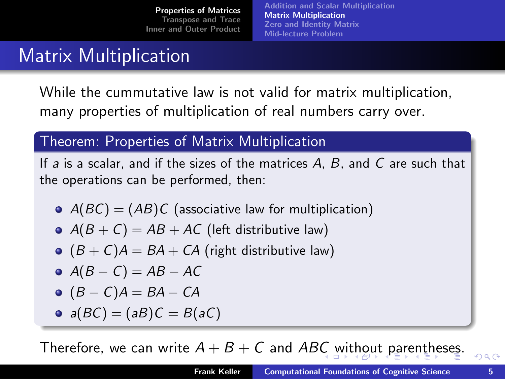[Addition and Scalar Multiplication](#page-2-0) [Matrix Multiplication](#page-3-0) [Zero and Identity Matrix](#page-5-0) [Mid-lecture Problem](#page-8-0)

### Matrix Multiplication

While the cummutative law is not valid for matrix multiplication, many properties of multiplication of real numbers carry over.

#### Theorem: Properties of Matrix Multiplication

If  $a$  is a scalar, and if the sizes of the matrices  $A$ ,  $B$ , and  $C$  are such that the operations can be performed, then:

- $A(BC) = (AB)C$  (associative law for multiplication)
- $A(B+C) = AB + AC$  (left distributive law)
- $( B + C) A = BA + CA$  (right distributive law)
- $\bullet$  A(B C) = AB AC
- $\bullet$  (B C)A = BA CA
- <span id="page-4-0"></span>•  $a(BC) = (aB)C = B(aC)$

T[h](#page-11-0)eref[o](#page-4-0)re,we c[a](#page-4-0)[n](#page-1-0) wri[t](#page-2-0)[e](#page-12-0)  $A + B + C$  $A + B + C$  and ABC [wit](#page-5-0)ho[ut](#page-5-0) [p](#page-3-0)a[re](#page-5-0)nthe[se](#page-0-0)[s.](#page-19-0)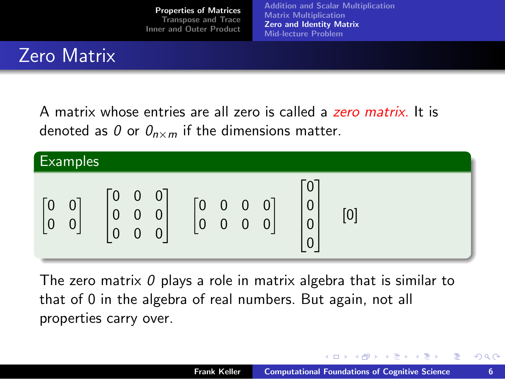[Addition and Scalar Multiplication](#page-2-0) [Matrix Multiplication](#page-3-0) [Zero and Identity Matrix](#page-5-0) [Mid-lecture Problem](#page-8-0)

# Zero Matrix

A matrix whose entries are all zero is called a zero matrix. It is denoted as 0 or  $\mathcal{O}_{n \times m}$  if the dimensions matter.



The zero matrix  $\theta$  plays a role in matrix algebra that is similar to that of 0 in the algebra of real numbers. But again, not all properties carry over.

イロト イ押 トイラ トイラト

<span id="page-5-0"></span>目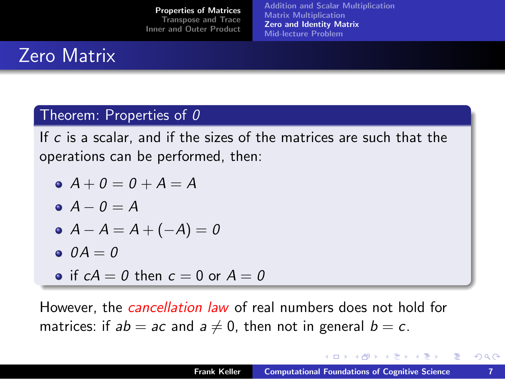[Addition and Scalar Multiplication](#page-2-0) [Matrix Multiplication](#page-3-0) [Zero and Identity Matrix](#page-5-0) [Mid-lecture Problem](#page-8-0)

# Zero Matrix

#### Theorem: Properties of  $0$

If c is a scalar, and if the sizes of the matrices are such that the operations can be performed, then:

$$
\bullet \ \ A + \mathbf{0} = \mathbf{0} + \mathbf{A} = \mathbf{A}
$$

$$
\bullet \ \ A - \mathit{0} = A
$$

$$
\bullet\ \ A-A=A+(-A)=0
$$

$$
\bullet \ \ \theta A = 0
$$

• if  $cA = 0$  then  $c = 0$  or  $A = 0$ 

However, the *cancellation law* of real numbers does not hold for matrices: if  $ab = ac$  and  $a \neq 0$ , then not in general  $b = c$ .

 $(1,1)$   $(1,1)$   $(1,1)$   $(1,1)$   $(1,1)$   $(1,1)$   $(1,1)$   $(1,1)$   $(1,1)$   $(1,1)$   $(1,1)$   $(1,1)$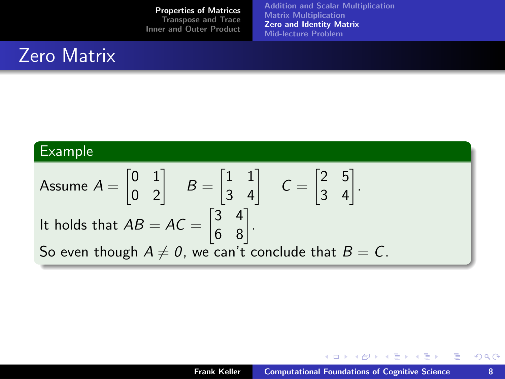[Addition and Scalar Multiplication](#page-2-0) [Matrix Multiplication](#page-3-0) [Zero and Identity Matrix](#page-5-0) [Mid-lecture Problem](#page-8-0)

## Zero Matrix

### Example

Assume 
$$
A = \begin{bmatrix} 0 & 1 \\ 0 & 2 \end{bmatrix}
$$
  $B = \begin{bmatrix} 1 & 1 \\ 3 & 4 \end{bmatrix}$   $C = \begin{bmatrix} 2 & 5 \\ 3 & 4 \end{bmatrix}$ .  
It holds that  $AB = AC = \begin{bmatrix} 3 & 4 \\ 6 & 8 \end{bmatrix}$ .  
So even though  $A \neq 0$ , we can't conclude that  $B = C$ .

メロメ メ御き メミメメミド

重

 $299$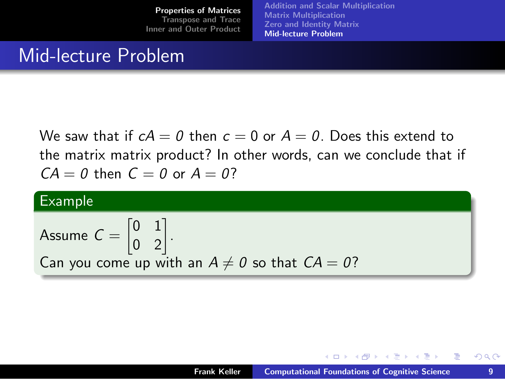[Addition and Scalar Multiplication](#page-2-0) [Matrix Multiplication](#page-3-0) [Zero and Identity Matrix](#page-5-0) [Mid-lecture Problem](#page-8-0)

#### Mid-lecture Problem

We saw that if  $cA = 0$  then  $c = 0$  or  $A = 0$ . Does this extend to the matrix matrix product? In other words, can we conclude that if  $CA = 0$  then  $C = 0$  or  $A = 0$ ?

#### Example

Assume 
$$
C = \begin{bmatrix} 0 & 1 \\ 0 & 2 \end{bmatrix}
$$
.  
Can you come up with an  $A \neq 0$  so that  $CA = 0$ ?

<span id="page-8-0"></span>イロト イ押 トイヨ トイヨト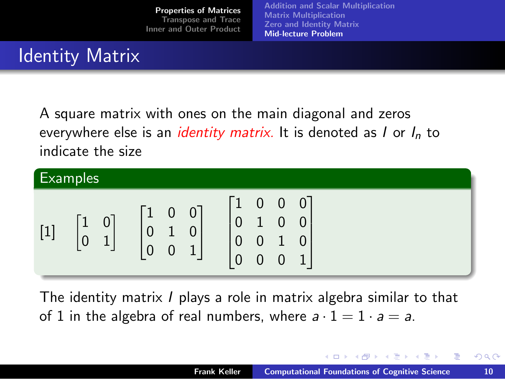[Addition and Scalar Multiplication](#page-2-0) [Matrix Multiplication](#page-3-0) [Zero and Identity Matrix](#page-5-0) [Mid-lecture Problem](#page-8-0)

# Identity Matrix

A square matrix with ones on the main diagonal and zeros everywhere else is an *identity matrix*. It is denoted as  $I$  or  $I_n$  to indicate the size



The identity matrix I plays a role in matrix algebra similar to that of 1 in the algebra of real numbers, where  $a \cdot 1 = 1 \cdot a = a$ .

 $(1,1)$   $(1,1)$   $(1,1)$   $(1,1)$   $(1,1)$   $(1,1)$   $(1,1)$   $(1,1)$   $(1,1)$   $(1,1)$   $(1,1)$ 

重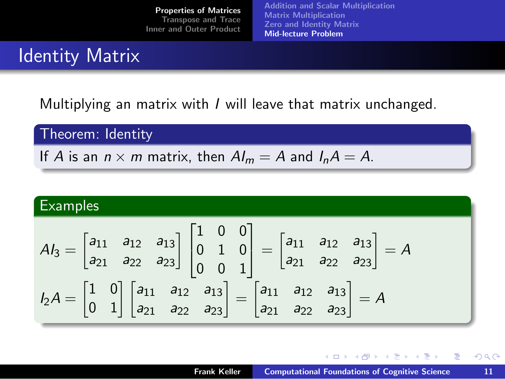[Addition and Scalar Multiplication](#page-2-0) [Matrix Multiplication](#page-3-0) [Zero and Identity Matrix](#page-5-0) [Mid-lecture Problem](#page-8-0)

### Identity Matrix

Multiplying an matrix with I will leave that matrix unchanged.

Theorem: Identity

If A is an  $n \times m$  matrix, then  $Al_m = A$  and  $I_nA = A$ .

Examples  
\n
$$
A_{3} = \begin{bmatrix} a_{11} & a_{12} & a_{13} \ a_{21} & a_{22} & a_{23} \end{bmatrix} \begin{bmatrix} 1 & 0 & 0 \ 0 & 1 & 0 \ 0 & 0 & 1 \end{bmatrix} = \begin{bmatrix} a_{11} & a_{12} & a_{13} \ a_{21} & a_{22} & a_{23} \end{bmatrix} = A
$$
\n
$$
I_{2}A = \begin{bmatrix} 1 & 0 \ 0 & 1 \end{bmatrix} \begin{bmatrix} a_{11} & a_{12} & a_{13} \ a_{21} & a_{22} & a_{23} \end{bmatrix} = \begin{bmatrix} a_{11} & a_{12} & a_{13} \ a_{21} & a_{22} & a_{23} \end{bmatrix} = A
$$

 $\left\{ \begin{array}{ccc} 1 & 0 & 0 \\ 0 & 1 & 0 \end{array} \right\}$  ,  $\left\{ \begin{array}{ccc} \frac{1}{2} & 0 & 0 \\ 0 & 0 & 0 \end{array} \right\}$  ,  $\left\{ \begin{array}{ccc} \frac{1}{2} & 0 & 0 \\ 0 & 0 & 0 \end{array} \right\}$ 

重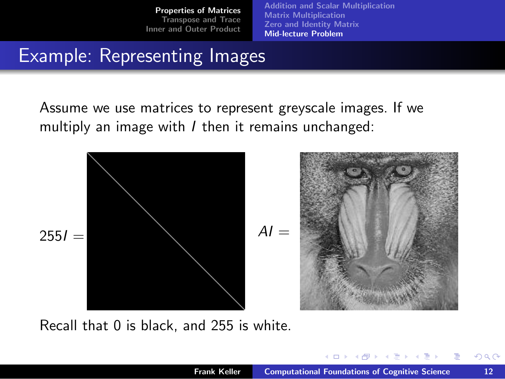[Addition and Scalar Multiplication](#page-2-0) [Matrix Multiplication](#page-3-0) [Zero and Identity Matrix](#page-5-0) [Mid-lecture Problem](#page-8-0)

### Example: Representing Images

Assume we use matrices to represent greyscale images. If we multiply an image with  *then it remains unchanged:* 



Recall that 0 is black, and 255 is white.

<span id="page-11-0"></span> $(1,1)$   $(1,1)$   $(1,1)$   $(1,1)$   $(1,1)$   $(1,1)$   $(1,1)$   $(1,1)$   $(1,1)$   $(1,1)$   $(1,1)$   $(1,1)$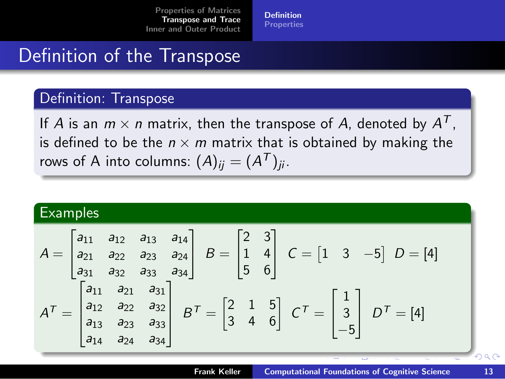<span id="page-12-0"></span>[Definition](#page-12-0) **[Properties](#page-14-0)** 

### Definition of the Transpose

#### Definition: Transpose

If  $A$  is an  $m \times n$  matrix, then the transpose of  $A$ , denoted by  $A^T$ , is defined to be the  $n \times m$  matrix that is obtained by making the rows of A into columns:  $(A)_{ij}=(A^{\mathcal{T}})_{ji}.$ 

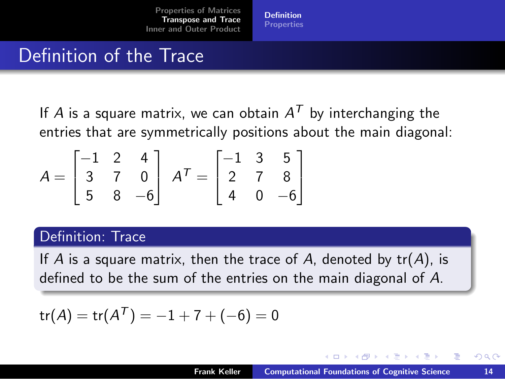[Definition](#page-12-0) **[Properties](#page-14-0)** 

## Definition of the Trace

If  $A$  is a square matrix, we can obtain  $A^{\mathcal{T}}$  by interchanging the entries that are symmetrically positions about the main diagonal:

$$
A = \begin{bmatrix} -1 & 2 & 4 \\ 3 & 7 & 0 \\ 5 & 8 & -6 \end{bmatrix} \ A^{T} = \begin{bmatrix} -1 & 3 & 5 \\ 2 & 7 & 8 \\ 4 & 0 & -6 \end{bmatrix}
$$

#### Definition: Trace

If A is a square matrix, then the trace of A, denoted by  $tr(A)$ , is defined to be the sum of the entries on the main diagonal of A.

$$
\text{tr}(A) = \text{tr}(A^T) = -1 + 7 + (-6) = 0
$$

 $\left\{ \begin{array}{ccc} 1 & 0 & 0 \\ 0 & 1 & 0 \end{array} \right\}$  ,  $\left\{ \begin{array}{ccc} \frac{1}{2} & 0 & 0 \\ 0 & 0 & 0 \end{array} \right\}$  ,  $\left\{ \begin{array}{ccc} \frac{1}{2} & 0 & 0 \\ 0 & 0 & 0 \end{array} \right\}$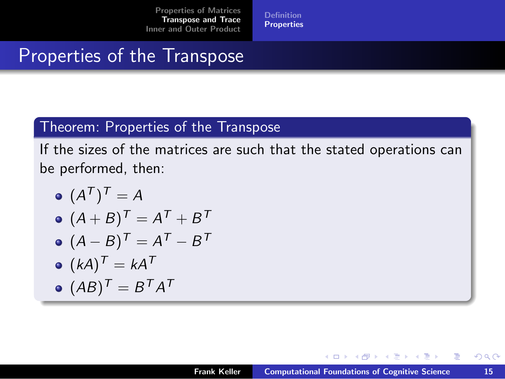[Definition](#page-12-0) **[Properties](#page-14-0)** 

### Properties of the Transpose

#### Theorem: Properties of the Transpose

If the sizes of the matrices are such that the stated operations can be performed, then:

\n- $$
(A^T)^T = A
$$
\n- $(A + B)^T = A^T + B^T$
\n- $(A - B)^T = A^T - B^T$
\n- $(kA)^T = kA^T$
\n

$$
\bullet \ (AB)^{\mathcal{T}} = B^{\mathcal{T}}A^{\mathcal{T}}
$$

<span id="page-14-0"></span> $\left\{ \begin{array}{ccc} 1 & 0 & 0 \\ 0 & 1 & 0 \end{array} \right\}$  ,  $\left\{ \begin{array}{ccc} \frac{1}{2} & 0 & 0 \\ 0 & 0 & 0 \end{array} \right\}$  ,  $\left\{ \begin{array}{ccc} \frac{1}{2} & 0 & 0 \\ 0 & 0 & 0 \end{array} \right\}$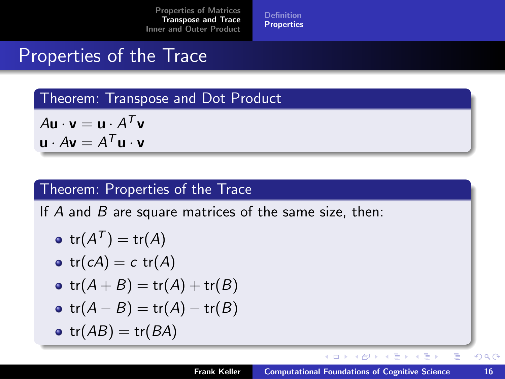[Definition](#page-12-0) **[Properties](#page-14-0)** 

### Properties of the Trace

Theorem: Transpose and Dot Product

 $A\mathbf{u} \cdot \mathbf{v} = \mathbf{u} \cdot A^T \mathbf{v}$  $\mathbf{u} \cdot A \mathbf{v} = A^T \mathbf{u} \cdot \mathbf{v}$ 

#### Theorem: Properties of the Trace

If  $A$  and  $B$  are square matrices of the same size, then:

$$
\bullet \ \ \mathsf{tr}(A^{\mathcal{T}}) = \mathsf{tr}(A)
$$

$$
\bullet \ \ tr(cA)=c \ \ tr(A)
$$

$$
\bullet \ \ tr(A + B) = \mathrm{tr}(A) + \mathrm{tr}(B)
$$

$$
\bullet \ \ tr(A-B)=\mathrm{tr}(A)-\mathrm{tr}(B)
$$

•  $tr(AB) = tr(BA)$ 

 $\left\{ \begin{array}{ccc} 1 & 0 & 0 \\ 0 & 1 & 0 \end{array} \right\}$  ,  $\left\{ \begin{array}{ccc} 0 & 0 & 0 \\ 0 & 0 & 0 \end{array} \right\}$  ,  $\left\{ \begin{array}{ccc} 0 & 0 & 0 \\ 0 & 0 & 0 \end{array} \right\}$ 

重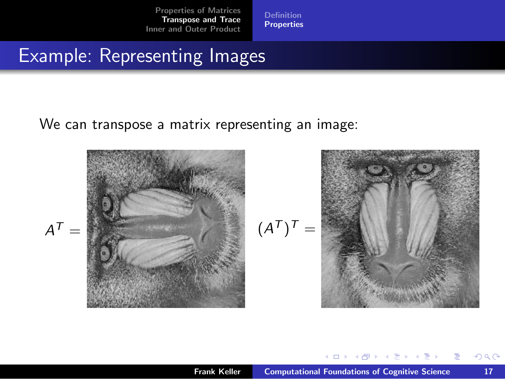[Definition](#page-12-0) [Properties](#page-14-0)

### Example: Representing Images

We can transpose a matrix representing an image:



 $\left\{ \begin{array}{ccc} 1 & 0 & 0 \\ 0 & 1 & 0 \end{array} \right.$  ,  $\left\{ \begin{array}{ccc} \frac{1}{2} & 0 & 0 \\ 0 & 0 & 0 \end{array} \right.$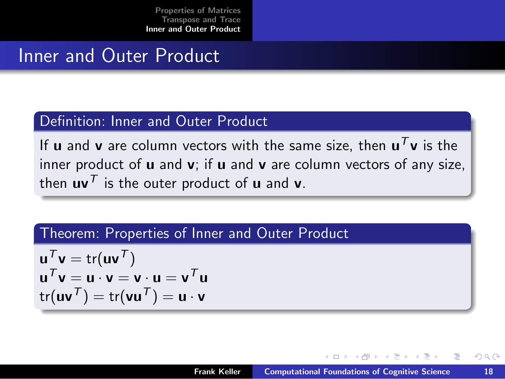### Inner and Outer Product

#### Definition: Inner and Outer Product

If  ${\sf u}$  and  ${\sf v}$  are column vectors with the same size, then  ${\sf u}^{\mathcal T}{\sf v}$  is the inner product of  $\boldsymbol{u}$  and  $\boldsymbol{v}$ ; if  $\boldsymbol{u}$  and  $\boldsymbol{v}$  are column vectors of any size, then  $uv^T$  is the outer product of u and v.

#### Theorem: Properties of Inner and Outer Product

$$
\begin{aligned}\n\mathbf{u}^T \mathbf{v} &= \text{tr}(\mathbf{u}\mathbf{v}^T) \\
\mathbf{u}^T \mathbf{v} &= \mathbf{u} \cdot \mathbf{v} = \mathbf{v} \cdot \mathbf{u} = \mathbf{v}^T \mathbf{u} \\
\text{tr}(\mathbf{u}\mathbf{v}^T) &= \text{tr}(\mathbf{v}\mathbf{u}^T) = \mathbf{u} \cdot \mathbf{v}\n\end{aligned}
$$

<span id="page-17-0"></span>イロト イ押ト イヨト イヨト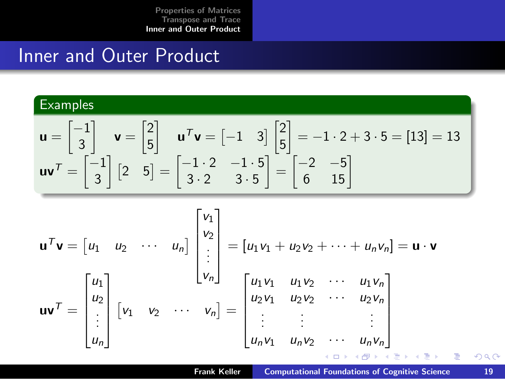### Inner and Outer Product

#### **Examples**

$$
\mathbf{u} = \begin{bmatrix} -1 \\ 3 \end{bmatrix} \quad \mathbf{v} = \begin{bmatrix} 2 \\ 5 \end{bmatrix} \quad \mathbf{u}^T \mathbf{v} = \begin{bmatrix} -1 & 3 \end{bmatrix} \begin{bmatrix} 2 \\ 5 \end{bmatrix} = -1 \cdot 2 + 3 \cdot 5 = \begin{bmatrix} 13 \end{bmatrix} = 13
$$
\n
$$
\mathbf{u}\mathbf{v}^T = \begin{bmatrix} -1 \\ 3 \end{bmatrix} \begin{bmatrix} 2 & 5 \end{bmatrix} = \begin{bmatrix} -1 \cdot 2 & -1 \cdot 5 \\ 3 \cdot 2 & 3 \cdot 5 \end{bmatrix} = \begin{bmatrix} -2 & -5 \\ 6 & 15 \end{bmatrix}
$$

$$
\mathbf{u}^T \mathbf{v} = \begin{bmatrix} u_1 & u_2 & \cdots & u_n \end{bmatrix} \begin{bmatrix} v_1 \\ v_2 \\ \vdots \\ v_n \end{bmatrix} = \begin{bmatrix} u_1v_1 + u_2v_2 + \cdots + u_nv_n \end{bmatrix} = \mathbf{u} \cdot \mathbf{v}
$$

$$
\mathbf{u} \mathbf{v}^T = \begin{bmatrix} u_1 \\ u_2 \\ \vdots \\ u_n \end{bmatrix} \begin{bmatrix} v_1 & v_2 & \cdots & v_n \end{bmatrix} = \begin{bmatrix} u_1v_1 & u_1v_2 & \cdots & u_1v_n \\ u_2v_1 & u_2v_2 & \cdots & u_2v_n \\ \vdots & \vdots & & \vdots \\ u_nv_1 & u_nv_2 & \cdots & u_nv_n \end{bmatrix}
$$

 $\equiv$